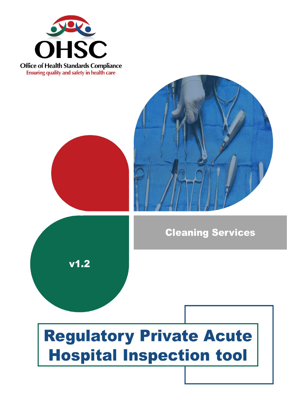

**Office of Health Standards Compliance Ensuring quality and safety in health care** 



## **Cleaning Services**



# **Regulatory Private Acute Hospital Inspection tool**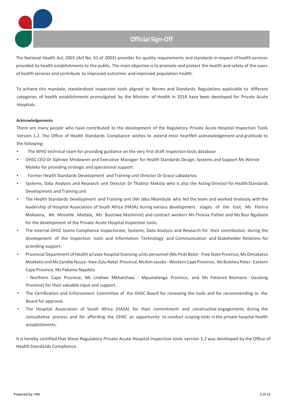## **Official Sign-Off**

The National Health Act, 2003 (Act No. 61 of 2003) provides for quality requirements and standards in respect of health services provided by health establishments to the public. The main objective is to promote and protect the health and safety of the users of health services and contribute to improved outcomes and improved population health.

To achieve this mandate, standardised inspection tools aligned to Norms and Standards Regulations applicable to different categories of health establishments promulgated by the Minister of Health in 2018 have been developed for Private Acute Hospitals.

#### **Acknowledgements**

There are many people who have contributed to the development of the Regulatory Private Acute Hospital Inspection Tools Version 1.2. The Office of Health Standards Compliance wishes to extend most heartfelt acknowledgement and gratitude to the following:

- The WHO technical team for providing guidance on the very first draft inspection tools database
- OHSC CEO Dr Siphiwe Mndaweni and Executive Manager for Health Standards Design, Systems and Support Ms Winnie Moleko for providing strategic and operational support.
- Former Health Standards Development and Training unit Director Dr Grace Labadarios
- Systems, Data Analysis and Research unit Director Dr Thabiso Makola who is also the Acting Director for Health Standards Development and Training unit
- The Health Standards Development and Training unit (Mr Jabu Nkambule who led the team and worked tirelessly with the leadership of Hospital Association of South Africa (HASA) during various development stages of the tool, Ms Florina Mokoena, Ms Mosehle Matlala, Ms Busisiwe Mashinini) and contract workers Ms Thresia Pather and Ms Busi Ngubane for the development of the Private Acute Hospital Inspection tools.
- The internal OHSC teams Compliance Inspectorate; Systems, Data Analysis and Research for their contribution during the development of the Inspection tools and Information Technology and Communication and Stakeholder Relations for providing support.
- Provincial Department of Health private hospital licensing units personnel (Ms Pinki Belot Free State Province, Ms Dimakatso Moeketsi and Ms Zandile Nzuza - Kwa-Zulu Natal-Province, Ms Kim Jacobs - Western Cape Province, Ms Bulelwa Peter - Eastern Cape Province, Ms Pakama Nqadala
	- Northern Cape Province, Ms Lindiwe Mkhatshwa Mpumalanga Province, and Ms Patience Ntamane Gauteng Province) for their valuable input and support.
- The Certification and Enforcement Committee of the OHSC Board for reviewing the tools and for recommending to the Board for approval.
- The Hospital Association of South Africa (HASA) for their commitment and constructive engagements during the consultative process and for affording the OHSC an opportunity to conduct scoping visits in the private hospital health establishments.

It is hereby certified that these Regulatory Private Acute Hospital Inspection tools version 1.2 was developed by the Office of Health Standards Compliance.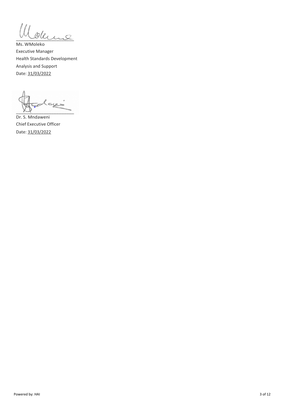Ill oderne

Ms. WMoleko Executive Manager Health Standards Development Analysis and Support Date: 31/03/2022

أديية  $\sim$   $\sim$ 

Dr. S. Mndaweni Chief Executive Officer Date: 31/03/2022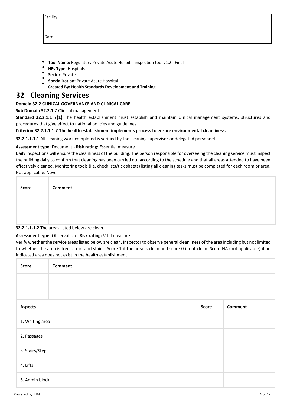| acility<br>г |  |
|--------------|--|
|              |  |

Date:

- **Tool Name:** Regulatory Private Acute Hospital inspection tool v1.2 Final
- **HEs Type:** Hospitals
- **Sector:** Private
- **Specialization:** Private Acute Hospital
- **Created By: Health Standards Development and Training**

### **32 Cleaning Services**

#### **Domain 32.2 CLINICAL GOVERNANCE AND CLINICAL CARE**

#### **Sub Domain 32.2.1 7** Clinical management

**Standard 32.2.1.1 7(1)** The health establishment must establish and maintain clinical management systems, structures and procedures that give effect to national policies and guidelines.

#### **Criterion 32.2.1.1.1 7 The health establishment implements process to ensure environmental cleanliness.**

**32.2.1.1.1.1** All cleaning work completed is verified by the cleaning supervisor or delegated personnel.

#### **Assessment type:** Document - **Risk rating:** Essential measure

Daily inspections will ensure the cleanliness of the building. The person responsible for overseeing the cleaning service must inspect the building daily to confirm that cleaning has been carried out according to the schedule and that all areas attended to have been effectively cleaned. Monitoring tools (i.e. checklists/tick sheets) listing all cleaning tasks must be completed for each room or area. Not applicable: Never

| <b>Score</b> | <b>Comment</b> |
|--------------|----------------|
|              |                |
|              |                |

#### **32.2.1.1.1.2** The areas listed below are clean.

#### **Assessment type:** Observation - **Risk rating:** Vital measure

Verify whether the service areas listed below are clean. Inspector to observe general cleanliness of the area including but not limited to whether the area is free of dirt and stains. Score 1 if the area is clean and score 0 if not clean. Score NA (not applicable) if an indicated area does not exist in the health establishment

| Score           | <b>Comment</b> |       |                |
|-----------------|----------------|-------|----------------|
|                 |                |       |                |
|                 |                |       |                |
| <b>Aspects</b>  |                | Score | <b>Comment</b> |
| 1. Waiting area |                |       |                |
| 2. Passages     |                |       |                |
| 3. Stairs/Steps |                |       |                |
| 4. Lifts        |                |       |                |
| 5. Admin block  |                |       |                |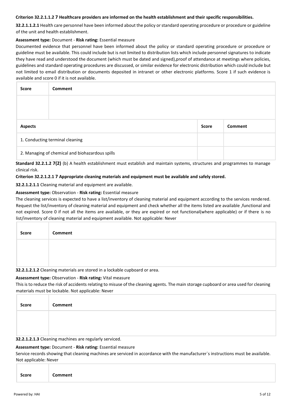#### **Criterion 32.2.1.1.2 7 Healthcare providers are informed on the health establishment and their specific responsibilities.**

**32.2.1.1.2.1** Health care personnel have been informed about the policy or standard operating procedure or procedure or guideline of the unit and health establishment.

#### **Assessment type:** Document - **Risk rating:** Essential measure

Documented evidence that personnel have been informed about the policy or standard operating procedure or procedure or guideline must be available. This could include but is not limited to distribution lists which include personnel signatures to indicate they have read and understood the document (which must be dated and signed),proof of attendance at meetings where policies, guidelines and standard operating procedures are discussed, or similar evidence for electronic distribution which could include but not limited to email distribution or documents deposited in intranet or other electronic platforms. Score 1 if such evidence is available and score 0 if it is not available.

| <b>Score</b>                                    | <b>Comment</b> |              |         |
|-------------------------------------------------|----------------|--------------|---------|
|                                                 |                |              |         |
|                                                 |                |              |         |
| <b>Aspects</b>                                  |                | <b>Score</b> | Comment |
| 1. Conducting terminal cleaning                 |                |              |         |
| 2. Managing of chemical and biohazardous spills |                |              |         |

**Standard 32.2.1.2 7(2)** (b) A health establishment must establish and maintain systems, structures and programmes to manage clinical risk.

#### **Criterion 32.2.1.2.1 7 Appropriate cleaning materials and equipment must be available and safely stored.**

**32.2.1.2.1.1** Cleaning material and equipment are available.

#### **Assessment type:** Observation - **Risk rating:** Essential measure

The cleaning services is expected to have a list/inventory of cleaning material and equipment according to the services rendered. Request the list/inventory of cleaning material and equipment and check whether all the items listed are available ,functional and not expired. Score 0 if not all the items are available, or they are expired or not functional(where applicable) or if there is no list/inventory of cleaning material and equipment available. Not applicable: Never

| <b>Score</b> | Comment                                                                    |
|--------------|----------------------------------------------------------------------------|
|              |                                                                            |
|              | 22 1 1 2 1 2 Cleaning materials are stored in a lockable supposed or area. |

**32.2.1.2.1.2** Cleaning materials are stored in a lockable cupboard or area.

#### **Assessment type:** Observation - **Risk rating:** Vital measure

This is to reduce the risk of accidents relating to misuse of the cleaning agents. The main storage cupboard or area used for cleaning materials must be lockable. Not applicable: Never

| Score | Comment |
|-------|---------|
|       |         |
|       |         |

**32.2.1.2.1.3** Cleaning machines are regularly serviced.

#### **Assessment type:** Document - **Risk rating:** Essential measure

Service records showing that cleaning machines are serviced in accordance with the manufacturer`s instructions must be available. Not applicable: Never

|--|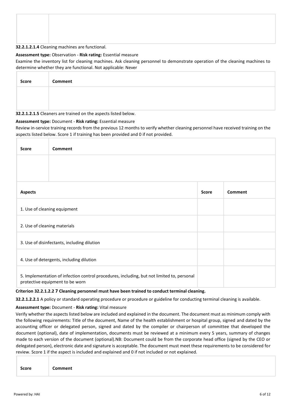#### **32.2.1.2.1.4** Cleaning machines are functional.

#### **Assessment type:** Observation - **Risk rating:** Essential measure

Examine the inventory list for cleaning machines. Ask cleaning personnel to demonstrate operation of the cleaning machines to determine whether they are functional. Not applicable: Never

| Score | Comment |
|-------|---------|
|       |         |
|       |         |

#### **32.2.1.2.1.5** Cleaners are trained on the aspects listed below.

#### **Assessment type:** Document - **Risk rating:** Essential measure

Review in-service training records from the previous 12 months to verify whether cleaning personnel have received training on the aspects listed below. Score 1 if training has been provided and 0 if not provided.

| <b>Score</b>                                                                                                                  | <b>Comment</b>                              |              |         |
|-------------------------------------------------------------------------------------------------------------------------------|---------------------------------------------|--------------|---------|
|                                                                                                                               |                                             |              |         |
| <b>Aspects</b>                                                                                                                |                                             | <b>Score</b> | Comment |
|                                                                                                                               | 1. Use of cleaning equipment                |              |         |
| 2. Use of cleaning materials                                                                                                  |                                             |              |         |
|                                                                                                                               | 3. Use of disinfectants, including dilution |              |         |
|                                                                                                                               | 4. Use of detergents, including dilution    |              |         |
| 5. Implementation of infection control procedures, including, but not limited to, personal<br>protective equipment to be worn |                                             |              |         |

#### **Criterion 32.2.1.2.2 7 Cleaning personnel must have been trained to conduct terminal cleaning.**

**32.2.1.2.2.1** A policy or standard operating procedure or procedure or guideline for conducting terminal cleaning is available.

#### **Assessment type:** Document - **Risk rating:** Vital measure

Verify whether the aspects listed below are included and explained in the document. The document must as minimum comply with the following requirements: Title of the document, Name of the health establishment or hospital group, signed and dated by the accounting officer or delegated person, signed and dated by the compiler or chairperson of committee that developed the document (optional), date of implementation, documents must be reviewed at a minimum every 5 years, summary of changes made to each version of the document (optional).NB: Document could be from the corporate head office (signed by the CEO or delegated person), electronic date and signature is acceptable. The document must meet these requirements to be considered for review. Score 1 if the aspect is included and explained and 0 if not included or not explained.

| Score | Comment |  |  |  |
|-------|---------|--|--|--|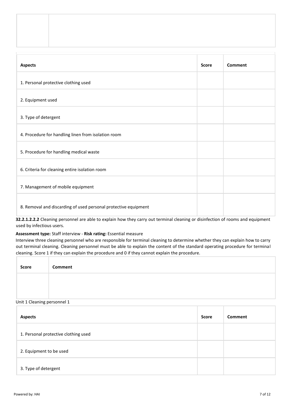| <b>Aspects</b>                                                  | <b>Score</b> | <b>Comment</b> |
|-----------------------------------------------------------------|--------------|----------------|
| 1. Personal protective clothing used                            |              |                |
| 2. Equipment used                                               |              |                |
| 3. Type of detergent                                            |              |                |
| 4. Procedure for handling linen from isolation room             |              |                |
| 5. Procedure for handling medical waste                         |              |                |
| 6. Criteria for cleaning entire isolation room                  |              |                |
| 7. Management of mobile equipment                               |              |                |
| 8. Removal and discarding of used personal protective equipment |              |                |

**32.2.1.2.2.2** Cleaning personnel are able to explain how they carry out terminal cleaning or disinfection of rooms and equipment used by infectious users.

#### **Assessment type:** Staff interview - **Risk rating:** Essential measure

Interview three cleaning personnel who are responsible for terminal cleaning to determine whether they can explain how to carry out terminal cleaning. Cleaning personnel must be able to explain the content of the standard operating procedure for terminal cleaning. Score 1 if they can explain the procedure and 0 if they cannot explain the procedure.

| Score | Comment |
|-------|---------|
|       |         |
|       |         |

#### Unit 1 Cleaning personnel 1

| <b>Aspects</b>                       | <b>Score</b> | Comment |
|--------------------------------------|--------------|---------|
| 1. Personal protective clothing used |              |         |
| 2. Equipment to be used              |              |         |
| 3. Type of detergent                 |              |         |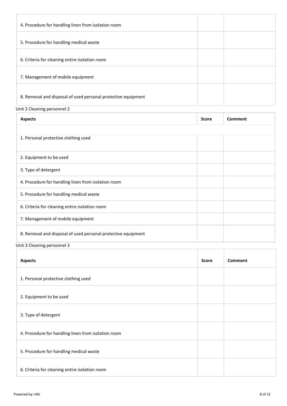| 4. Procedure for handling linen from isolation room           |  |
|---------------------------------------------------------------|--|
| 5. Procedure for handling medical waste                       |  |
| 6. Criteria for cleaning entire isolation room                |  |
| 7. Management of mobile equipment                             |  |
| 8. Removal and disposal of used personal protective equipment |  |
| Unit 2 Cleaning personnel 2                                   |  |

| <b>Aspects</b>                                                | <b>Score</b> | Comment |
|---------------------------------------------------------------|--------------|---------|
|                                                               |              |         |
| 1. Personal protective clothing used                          |              |         |
|                                                               |              |         |
| 2. Equipment to be used                                       |              |         |
| 3. Type of detergent                                          |              |         |
| 4. Procedure for handling linen from isolation room           |              |         |
| 5. Procedure for handling medical waste                       |              |         |
| 6. Criteria for cleaning entire isolation room                |              |         |
| 7. Management of mobile equipment                             |              |         |
| 8. Removal and disposal of used personal protective equipment |              |         |

Unit 3 Cleaning personnel 3

| <b>Aspects</b>                                      | <b>Score</b> | <b>Comment</b> |
|-----------------------------------------------------|--------------|----------------|
| 1. Personal protective clothing used                |              |                |
| 2. Equipment to be used                             |              |                |
| 3. Type of detergent                                |              |                |
| 4. Procedure for handling linen from isolation room |              |                |
| 5. Procedure for handling medical waste             |              |                |
| 6. Criteria for cleaning entire isolation room      |              |                |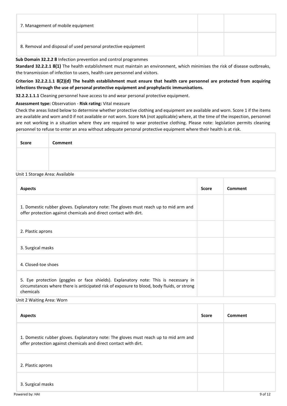| 7. Management of mobile equipment                             |  |
|---------------------------------------------------------------|--|
| 8. Removal and disposal of used personal protective equipment |  |

#### **Sub Domain 32.2.2 8** Infection prevention and control programmes

**Standard 32.2.2.1 8(1)** The health establishment must maintain an environment, which minimises the risk of disease outbreaks, the transmission of infection to users, health care personnel and visitors.

#### **Criterion 32.2.2.1.1 8(2)(d) The health establishment must ensure that health care personnel are protected from acquiring infections through the use of personal protective equipment and prophylactic immunisations.**

**32.2.2.1.1.1** Cleaning personnel have access to and wear personal protective equipment.

#### **Assessment type:** Observation - **Risk rating:** Vital measure

Check the areas listed below to determine whether protective clothing and equipment are available and worn. Score 1 if the items are available and worn and 0 if not available or not worn. Score NA (not applicable) where, at the time of the inspection, personnel are not working in a situation where they are required to wear protective clothing. Please note: legislation permits cleaning personnel to refuse to enter an area without adequate personal protective equipment where their health is at risk.

| <b>Score</b> | Comment |
|--------------|---------|
|              |         |
|              |         |

#### Unit 1 Storage Area: Available

| <b>Aspects</b>                                                                                                                                                                                 | <b>Score</b> | Comment |
|------------------------------------------------------------------------------------------------------------------------------------------------------------------------------------------------|--------------|---------|
| 1. Domestic rubber gloves. Explanatory note: The gloves must reach up to mid arm and<br>offer protection against chemicals and direct contact with dirt.                                       |              |         |
| 2. Plastic aprons                                                                                                                                                                              |              |         |
| 3. Surgical masks                                                                                                                                                                              |              |         |
| 4. Closed-toe shoes                                                                                                                                                                            |              |         |
| 5. Eye protection (goggles or face shields). Explanatory note: This is necessary in<br>circumstances where there is anticipated risk of exposure to blood, body fluids, or strong<br>chemicals |              |         |

#### Unit 2 Waiting Area: Worn

| <b>Aspects</b>                                                                                                                                           | <b>Score</b> | Comment |
|----------------------------------------------------------------------------------------------------------------------------------------------------------|--------------|---------|
| 1. Domestic rubber gloves. Explanatory note: The gloves must reach up to mid arm and<br>offer protection against chemicals and direct contact with dirt. |              |         |
| 2. Plastic aprons                                                                                                                                        |              |         |
| 3. Surgical masks                                                                                                                                        |              |         |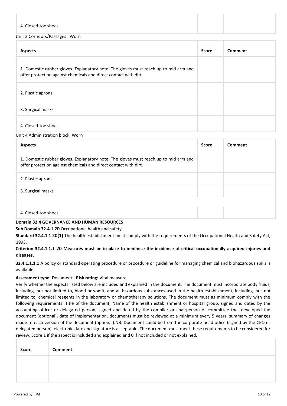| 4. Closed-toe shoes  |  |
|----------------------|--|
| .<br>$\sqrt{2}$<br>. |  |

#### Unit 3 Corridors/Passages : Worn

| <b>Aspects</b>                                                                                                                                           | <b>Score</b> | Comment |
|----------------------------------------------------------------------------------------------------------------------------------------------------------|--------------|---------|
| 1. Domestic rubber gloves. Explanatory note: The gloves must reach up to mid arm and<br>offer protection against chemicals and direct contact with dirt. |              |         |
| 2. Plastic aprons                                                                                                                                        |              |         |
| 3. Surgical masks                                                                                                                                        |              |         |
| 4. Closed-toe shoes                                                                                                                                      |              |         |

#### Unit 4 Administration block: Worn

| <b>Aspects</b>                                                                                                                                           | <b>Score</b> | Comment |
|----------------------------------------------------------------------------------------------------------------------------------------------------------|--------------|---------|
| 1. Domestic rubber gloves. Explanatory note: The gloves must reach up to mid arm and<br>offer protection against chemicals and direct contact with dirt. |              |         |
| 2. Plastic aprons                                                                                                                                        |              |         |
| 3. Surgical masks                                                                                                                                        |              |         |
|                                                                                                                                                          |              |         |
| 4. Closed-toe shoes                                                                                                                                      |              |         |

#### **Domain 32.4 GOVERNANCE AND HUMAN RESOURCES**

**Sub Domain 32.4.1 20** Occupational health and safety

**Standard 32.4.1.1 20(1)** The health establishment must comply with the requirements of the Occupational Health and Safety Act, 1993.

#### **Criterion 32.4.1.1.1 20 Measures must be in place to minimise the incidence of critical occupationally acquired injuries and diseases.**

**32.4.1.1.1.1** A policy or standard operating procedure or procedure or guideline for managing chemical and biohazardous spills is available.

#### **Assessment type:** Document - **Risk rating:** Vital measure

Verify whether the aspects listed below are included and explained in the document. The document must incorporate body fluids, including, but not limited to, blood or vomit, and all hazardous substances used in the health establishment, including, but not limited to, chemical reagents in the laboratory or chemotherapy solutions. The document must as minimum comply with the following requirements: Title of the document, Name of the health establishment or hospital group, signed and dated by the accounting officer or delegated person, signed and dated by the compiler or chairperson of committee that developed the document (optional), date of implementation, documents must be reviewed at a minimum every 5 years, summary of changes made to each version of the document (optional).NB: Document could be from the corporate head office (signed by the CEO or delegated person), electronic date and signature is acceptable. The document must meet these requirements to be considered for review. Score 1 if the aspect is included and explained and 0 if not included or not explained.

| Score | Comment |  |  |  |  |
|-------|---------|--|--|--|--|
|       |         |  |  |  |  |
|       |         |  |  |  |  |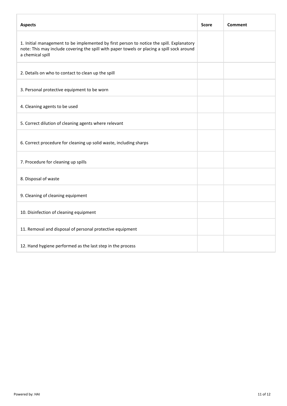| <b>Aspects</b>                                                                                                                                                                                             | <b>Score</b> | Comment |
|------------------------------------------------------------------------------------------------------------------------------------------------------------------------------------------------------------|--------------|---------|
| 1. Initial management to be implemented by first person to notice the spill. Explanatory<br>note: This may include covering the spill with paper towels or placing a spill sock around<br>a chemical spill |              |         |
| 2. Details on who to contact to clean up the spill                                                                                                                                                         |              |         |
| 3. Personal protective equipment to be worn                                                                                                                                                                |              |         |
| 4. Cleaning agents to be used                                                                                                                                                                              |              |         |
| 5. Correct dilution of cleaning agents where relevant                                                                                                                                                      |              |         |
| 6. Correct procedure for cleaning up solid waste, including sharps                                                                                                                                         |              |         |
| 7. Procedure for cleaning up spills                                                                                                                                                                        |              |         |
| 8. Disposal of waste                                                                                                                                                                                       |              |         |
| 9. Cleaning of cleaning equipment                                                                                                                                                                          |              |         |
| 10. Disinfection of cleaning equipment                                                                                                                                                                     |              |         |
| 11. Removal and disposal of personal protective equipment                                                                                                                                                  |              |         |
| 12. Hand hygiene performed as the last step in the process                                                                                                                                                 |              |         |